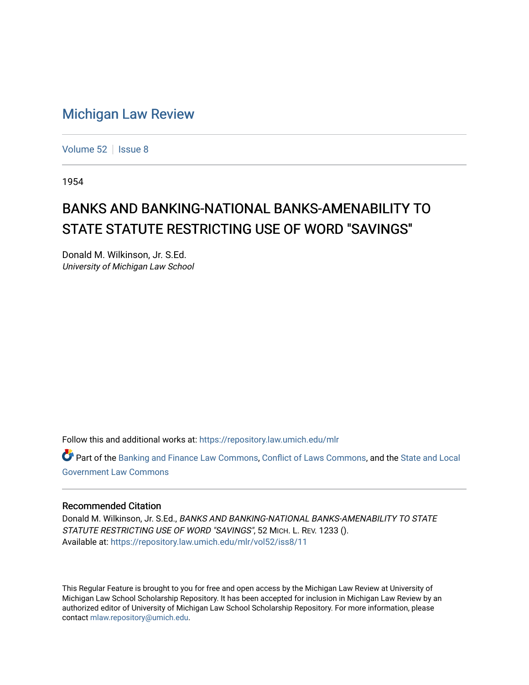## [Michigan Law Review](https://repository.law.umich.edu/mlr)

[Volume 52](https://repository.law.umich.edu/mlr/vol52) | [Issue 8](https://repository.law.umich.edu/mlr/vol52/iss8)

1954

## BANKS AND BANKING-NATIONAL BANKS-AMENABILITY TO STATE STATUTE RESTRICTING USE OF WORD "SAVINGS"

Donald M. Wilkinson, Jr. S.Ed. University of Michigan Law School

Follow this and additional works at: [https://repository.law.umich.edu/mlr](https://repository.law.umich.edu/mlr?utm_source=repository.law.umich.edu%2Fmlr%2Fvol52%2Fiss8%2F11&utm_medium=PDF&utm_campaign=PDFCoverPages) 

Part of the [Banking and Finance Law Commons,](http://network.bepress.com/hgg/discipline/833?utm_source=repository.law.umich.edu%2Fmlr%2Fvol52%2Fiss8%2F11&utm_medium=PDF&utm_campaign=PDFCoverPages) [Conflict of Laws Commons,](http://network.bepress.com/hgg/discipline/588?utm_source=repository.law.umich.edu%2Fmlr%2Fvol52%2Fiss8%2F11&utm_medium=PDF&utm_campaign=PDFCoverPages) and the State and Local [Government Law Commons](http://network.bepress.com/hgg/discipline/879?utm_source=repository.law.umich.edu%2Fmlr%2Fvol52%2Fiss8%2F11&utm_medium=PDF&utm_campaign=PDFCoverPages) 

## Recommended Citation

Donald M. Wilkinson, Jr. S.Ed., BANKS AND BANKING-NATIONAL BANKS-AMENABILITY TO STATE STATUTE RESTRICTING USE OF WORD "SAVINGS", 52 MICH. L. REV. 1233 (). Available at: [https://repository.law.umich.edu/mlr/vol52/iss8/11](https://repository.law.umich.edu/mlr/vol52/iss8/11?utm_source=repository.law.umich.edu%2Fmlr%2Fvol52%2Fiss8%2F11&utm_medium=PDF&utm_campaign=PDFCoverPages) 

This Regular Feature is brought to you for free and open access by the Michigan Law Review at University of Michigan Law School Scholarship Repository. It has been accepted for inclusion in Michigan Law Review by an authorized editor of University of Michigan Law School Scholarship Repository. For more information, please contact [mlaw.repository@umich.edu](mailto:mlaw.repository@umich.edu).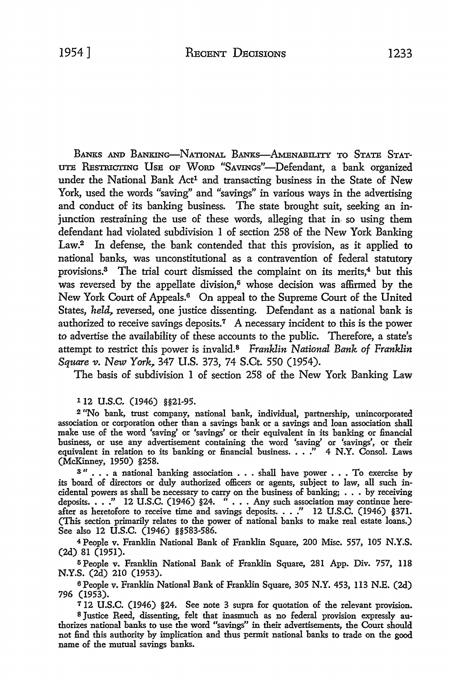BANKS .AND BANKING-NATIONAL BANKS-AMENABILITY TO STATE STAT-UTE RESTRICTING UsE OF WoRD "SAVINGs"-Defendant, a bank organized under the National Bank Act<sup>1</sup> and transacting business in the State of New York, used the words "saving" and "savings" in various ways in the advertising and conduct of its banking business. The state brought suit, seeking an injunction restraining the use of these words, alleging that in- so using them defendant had violated subdivision 1 of section 258 of the New York Banking Law.2 In defense, the bank contended that this provision, as it applied *to*  national banks, was unconstitutional as a contravention of federal statutory provisions.<sup>3</sup> The trial court dismissed the complaint on its merits,<sup>4</sup> but this was reversed by the appellate division,<sup>5</sup> whose decision was affirmed by the New York Court of Appeals.6 On appeal to the Supreme Court of the United States, *held*, reversed, one justice dissenting. Defendant as a national bank is authorized to receive savings deposits.<sup>7</sup> A necessary incident to this is the power to advertise the availability of these accounts to the public. Therefore, a state's attempt to restrict this power is invalid.8 *Franklin National Bank of Franklin Square v. New York, 347 U.S. 373, 74 S.Ct. 550 (1954).* 

The basis of subdivision 1 of section 258 of the New York Banking Law

## 1 12 u.s.c. (1946) §§21-95.

<sup>2</sup>"No bank, trust company, national bank, individual, partnership, unincorporated association or corporation other than a savings bank or a savings and loan association shall make use of the word 'saving' or 'savings' or their equivalent in its banking or financial business, or use any advertisement containing the word 'saving' or 'savings', or their equivalent in relation to its banking or financial business. . . ." 4 N.Y. Consol. Laws (McKinney, 1950) §258.

3" . . . a national banking association . . . shall have power . . . To exercise by its board of directors or duly authorized officers or agents, subject to law, all such incidental powers as shall be necessary to carry on the business of banking; • . • by receiving deposits. . . ." 12 U.S.C. (1946) §24. " . . . Any such association may continue hereafter as heretofore to receive time and savings deposits. . . ." 12 U.S.C. (1946) §371. (This section primarily relates to the power of national banks to make real estate loans.) See also 12 U.S.C. (1946) §§583-586.

<sup>4</sup>People v. Franklin National Bank of Franklin Square, 200 Misc. 557, 105 N.Y.S. (2d) 81 (1951).

<sup>5</sup>People v. Franklin National Bank of Franklin Square, 281 App. Div. 757, 118 N.Y.S. (2d) 210 (1953).

<sup>6</sup>People v. Franklin National Bank of Franklin Square, 305 N.Y. 453, 113 N.E. (2d) 796 (1953).

712 U.S.C. (1946) §24. See note 3 supra for quotation of the relevant provision. s Justice Reed, dissenting, felt that inasmuch as no federal provision expressly authorizes national banks to use the word "savings" in their advertisements, the Court should not find this authority by implication and thus permit national banks to trade on the good name of the mutual savings banks.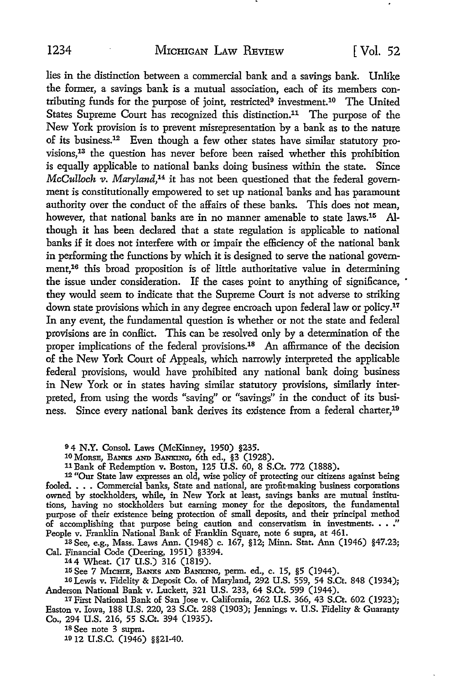lies in the distinction between a commercial bank and a savings bank. Unlike the former, a savings bank is a mutual association, each of its members contributing funds for the purpose of joint, restricted9 investment.10 The United States Supreme Court has recognized this distinction.11 The purpose of the New York provision is to prevent misrepresentation by a bank as to the nature of its business.12 Even though a few other states have similar statutory provisions, 13 the question has never before been raised whether this prohibition is equally applicable to national banks doing business within the state. Since *McCulloch v. Maryland,14* it has not been questioned that the federal government is constitutionally empowered to set up national banks and has paramount authority over the conduct of the affairs of these banks. This does not mean, however, that national banks are in no manner amenable to state laws.<sup>15</sup> Although it has been declared that a state regulation is applicable to national banks if it does not interfere with or impair the efficiency of the national bank in performing the functions by which it is designed to serve the national government,<sup>16</sup> this broad proposition is of little authoritative value in determining the issue under consideration. If the cases point to anything of significance, they would seem to indicate that the Supreme Court is not adverse to striking down state provisions which in any degree encroach upon federal law or policy.17 In any event, the fundamental question is whether or not the state and federal provisions are in conflict. This can be resolved only by a determination of the proper implications of the federal provisions.18 An affirmance of the decision of the New York Court of Appeals, which narrowly interpreted the applicable federal provisions, would have prohibited any national bank doing business in New York or in states having similar statutory provisions, similarly interpreted, from using the words "saving" or "savings" in the conduct of its business. Since every national bank derives its existence from a federal charter,<sup>19</sup>

<sup>9</sup>4 **N.Y.** Consol. Laws (McKinney, 1950) §235.

10 MonsE, BANKS AND BANKING, 6th ed., §3 (1928).

11 Bank of Redemption v. Boston, 125 U.S. 60, 8 S.Ct. 772 (1888).

12 "Our State law expresses an old, wise policy of protecting our citizens against being fooled. • • • Commercial banks, State and national, are profit-making business corporations owned by stockholders, while, in New York at least, savings banks are mutual institutions, having no stockholders but earning money for the depositors, the fundamental purpose of their existence being protection of small deposits, and their principal method of accomplishing that purpose being caution and conservatism in investments. • • ." People v. Franklin National Bank of Franklin Square, note 6 supra, at 461.

13See, e.g., Mass. Laws Ann. (1948) c. 167, §12; Minn. Stat. Ann (1946) §47.23; Cal. Financial Code (Deering, 1951) §3394.

144 Wheat. (17 U.S.) 316 (1819).

15 See 7 Michie, Banks and Banking, perm. ed., c. 15, §5 (1944).

10 Lewis v. Fidelity & Deposit Co. of Maryland, 292 U.S. 559, 54 S.Ct. 848 (1934); Anderson National Bank v. Luckett, 321 U.S. 233, 64 S.Ct. 599 (1944).

17 First National Bank of San Jose v. California, 262 U.S. 366, 43 S.Ct. 602 (1923); Easton v. Iowa, 188 U.S. 220, 23 S.Ct. 288 (1903); Jennings v. U.S. Fidelity & Guaranty Co., 294 U.S. 216, 55 S.Ct. 394 (1935).

18 See note 3 supra.

1912 u.s.c. (1946) §§21-40.